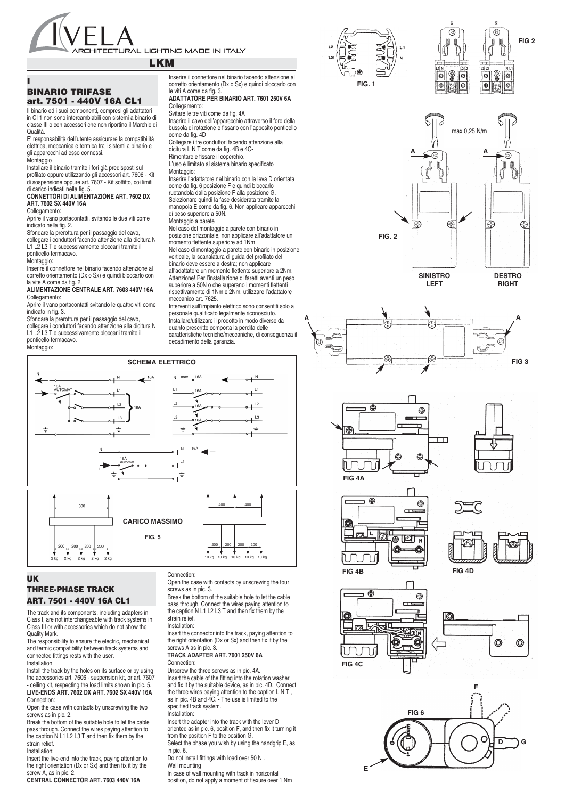

# **LKM**

# **I BINARIO TRIFASE art. 7501 - 440V 16A CL1**

Il binario ed i suoi componenti, compresi gli adattatori in CI 1 non sono intercambiabili con sistemi a binario di classe III o con accessori che non riportino il Marchio di Qualità.

E' responsabilità dell'utente assicurare la compatibilità elettrica, meccanica e termica tra i sistemi a binario e gli apparecchi ad esso connessi.

## **Montaggio**

Installare il binario tramite i fori già predisposti sul profilato oppure utilizzando gli accessori art. 7606 - Kit di sospensione oppure art. 7607 - Kit soffitto, coi limiti di carico indicati nella fig. 5.

### **CONNETTORI DI ALIMENTAZIONE ART. 7602 DX ART. 7602 SX 440V 16A**

Collegamento:

Aprire il vano portacontatti, svitando le due viti come indicato nella fig. 2.

Sfondare la prerottura per il passaggio del cavo, collegare i conduttori facendo attenzione alla dicitura N L1 L2 L3 T e successivamente bloccarli tramite il ponticello fermacavo.

Montaggio:

Inserire il connettore nel binario facendo attenzione al corretto orientamento (Dx o Sx) e quindi bloccarlo con la vite A come da fig.

**ALIMENTAZIONE CENTRALE ART. 7603 440V 16A** Collegamento:

Aprire il vano portacontatti svitando le quattro viti come indicato in fig. 3.

Sfondare la prerottura per il passaggio del cavo, collegare i conduttori facendo attenzione alla dicitura N L1 L2 L3 T e successivamente bloccarli tramite il

ponticello fermacavo. Montaggio:

Inserire il connettore nel binario facendo attenzione al corretto orientamento (Dx o Sx) e quindi bloccarlo con le viti A come da fig. 3.

**ADATTATORE PER BINARIO ART. 7601 250V 6A** Collegamento:

## Svitare le tre viti come da fig. 4A

Inserire il cavo dell'apparecchio attraverso il foro della bussola di rotazione e fissarlo con l'apposito ponticello

come da fig. 4D Collegare i tre conduttori facendo attenzione alla dicitura L N T come da fig. 4B e 4C-

Rimontare e fissare il coperchio. L'uso è limitato al sistema binario specificato

### Montaggio:

Inserire l'adattatore nel binario con la leva D orientata come da fig. 6 posizione F e quindi bloccarlo ruotandola dalla posizione F alla posizione G. Selezionare quindi la fase desiderata tramite la

manopola E come da fig. 6. Non applicare apparecchi di peso superiore a 50N. Montaggio a parete

Nel caso del montaggio a parete con binario in

posizione orizzontale, non applicare all'adattatore un momento flettente superiore ad 1Nm

Nel caso di montaggio a parete con binario in posizione verticale, la scanalatura di guida del profilato del binario deve essere a destra; non applicare

all'adattatore un momento flettente superiore a 2Nm. Attenzione! Per l'installazione di faretti aventi un peso superiore a 50N o che superano i momenti flettenti rispettivamente di 1Nm e 2Nm, utilizzare l'adattatore

meccanico art. 7625. Interventi sull'impianto elettrico sono consentiti solo a

personale qualificato legalmente riconosciuto. Installare/utilizzare il prodotto in modo diverso da quanto prescritto comporta la perdita delle

caratteristiche tecniche/meccaniche, di conseguenza il decadimento della garanzia.





The track and its components, including adapters in Class I, are not interchangeable with track systems in Class III or with accessories which do not show the Quality Mark.

The responsibility to ensure the electric, mechanical and termic compatibility between track systems and connected fittings rests with the user. Installation

Install the track by the holes on its surface or by using the accessories art. 7606 - suspension kit, or art. 7607 - ceiling kit, respecting the load limits shown in pic. 5. **LIVE-ENDS ART. 7602 DX ART. 7602 SX 440V 16A** Connection:

Open the case with contacts by unscrewing the two screws as in pic. 2.

Break the bottom of the suitable hole to let the cable pass through. Connect the wires paying attention to the caption N L1 L2 L3 T and then fix them by the strain relief.

### Installation:

Insert the live-end into the track, paying attention to the right orientation (Dx or Sx) and then fix it by the screw A, as in pic. 2.

**CENTRAL CONNECTOR ART. 7603 440V 16A**

# Connection:

screws as in pic. 3.

pass through. Connect the wires paying attention to the caption N L1 L2 L3 T and then fix them by the strain relief.

Insert the connector into the track, paying attention to the right orientation (Dx or Sx) and then fix it by the screws A as in pic. 3.

### **TRACK ADAPTER ART. 7601 250V 6A** Connection:

Unscrew the three screws as in pic. 4A. Insert the cable of the fitting into the rotation washer and fix it by the suitable device, as in pic. 4D. Connect the three wires paying attention to the caption L N T, as in pic. 4B and 4C. - The use is limited to the specified track system.

### Installation:

Insert the adapter into the track with the lever D oriented as in pic. 6, position F, and then fix it turning it from the position F to the position G.

Select the phase you wish by using the handgrip E, as in pic. 6.

Do not install fittings with load over 50 N .

Wall mounting

In case of wall mounting with track in horizontal position, do not apply a moment of flexure over 1 Nm







**RIGHT**



**LEFT**















 $10$  kg

Open the case with contacts by unscrewing the four

Break the bottom of the suitable hole to let the cable

### Installation: